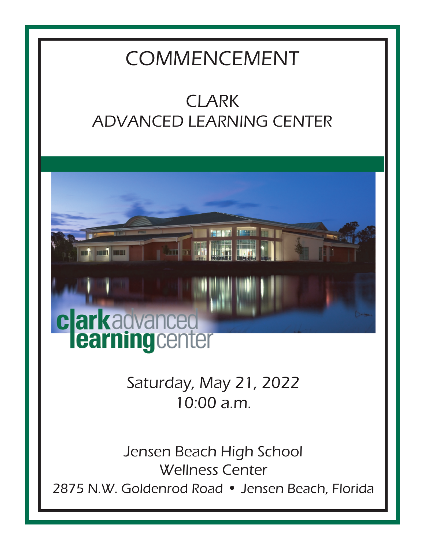# COMMENCEMENT

# CLARK ADVANCED LEARNING CENTER



Saturday, May 21, 2022 10:00 a.m.

Jensen Beach High School Wellness Center 2875 N.W. Goldenrod Road • Jensen Beach, Florida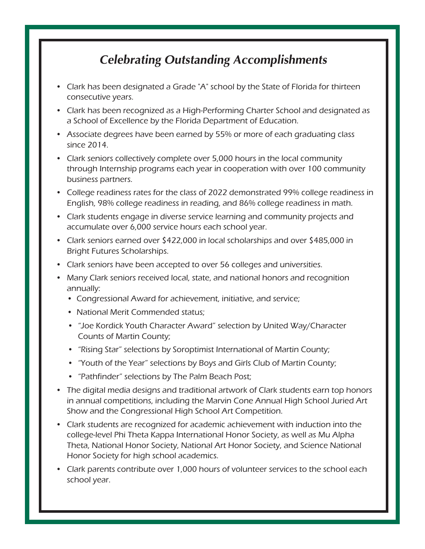#### **Celebrating Outstanding Accomplishments**

- Clark has been designated a Grade "A" school by the State of Florida for thirteen consecutive years.
- Clark has been recognized as a High-Performing Charter School and designated as a School of Excellence by the Florida Department of Education.
- Associate degrees have been earned by 55% or more of each graduating class since 2014.
- Clark seniors collectively complete over 5,000 hours in the local community through Internship programs each year in cooperation with over 100 community business partners.
- College readiness rates for the class of 2022 demonstrated 99% college readiness in English, 98% college readiness in reading, and 86% college readiness in math.
- Clark students engage in diverse service learning and community projects and accumulate over 6,000 service hours each school year.
- Clark seniors earned over \$422,000 in local scholarships and over \$485,000 in Bright Futures Scholarships.
- Clark seniors have been accepted to over 56 colleges and universities.
- Many Clark seniors received local, state, and national honors and recognition annually:
	- Congressional Award for achievement, initiative, and service;
	- National Merit Commended status;
	- "Joe Kordick Youth Character Award" selection by United Way/Character Counts of Martin County;
	- "Rising Star" selections by Soroptimist International of Martin County;
	- "Youth of the Year" selections by Boys and Girls Club of Martin County;
	- "Pathfinder" selections by The Palm Beach Post;
- The digital media designs and traditional artwork of Clark students earn top honors in annual competitions, including the Marvin Cone Annual High School Juried Art Show and the Congressional High School Art Competition.
- Clark students are recognized for academic achievement with induction into the college-level Phi Theta Kappa International Honor Society, as well as Mu Alpha Theta, National Honor Society, National Art Honor Society, and Science National Honor Society for high school academics.
- Clark parents contribute over 1,000 hours of volunteer services to the school each school year.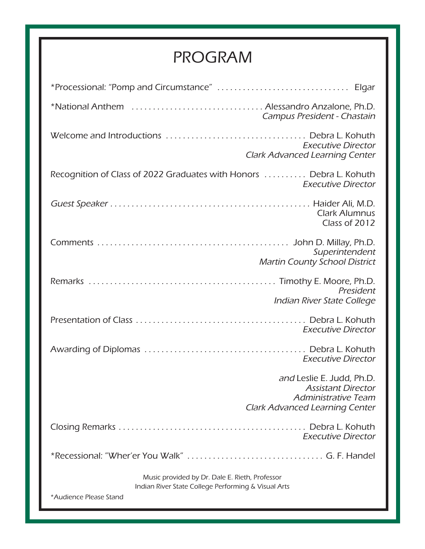## PROGRAM

| *National Anthem  Alessandro Anzalone, Ph.D.                                                          | Campus President - Chastain                                                                                            |  |
|-------------------------------------------------------------------------------------------------------|------------------------------------------------------------------------------------------------------------------------|--|
|                                                                                                       | <b>Executive Director</b><br><b>Clark Advanced Learning Center</b>                                                     |  |
| Recognition of Class of 2022 Graduates with Honors  Debra L. Kohuth                                   | <b>Executive Director</b>                                                                                              |  |
|                                                                                                       | <b>Clark Alumnus</b><br>Class of 2012                                                                                  |  |
|                                                                                                       | Superintendent<br><b>Martin County School District</b>                                                                 |  |
|                                                                                                       | President<br>Indian River State College                                                                                |  |
|                                                                                                       | <b>Executive Director</b>                                                                                              |  |
|                                                                                                       | <b>Executive Director</b>                                                                                              |  |
|                                                                                                       | and Leslie E. Judd, Ph.D.<br><b>Assistant Director</b><br>Administrative Team<br><b>Clark Advanced Learning Center</b> |  |
|                                                                                                       | <b>Executive Director</b>                                                                                              |  |
|                                                                                                       |                                                                                                                        |  |
| Music provided by Dr. Dale E. Rieth, Professor<br>Indian River State College Performing & Visual Arts |                                                                                                                        |  |
| *Audience Please Stand                                                                                |                                                                                                                        |  |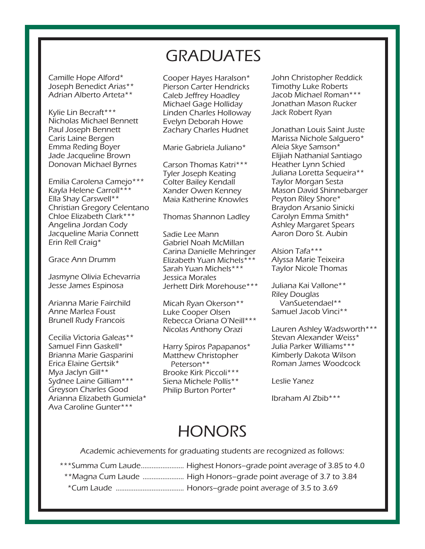Camille Hope Alford\* Joseph Benedict Arias\*\* Adrian Alberto Arteta\*\*

Kylie Lin Becraft\*\*\* Nicholas Michael Bennett Paul Joseph Bennett Caris Laine Bergen Emma Reding Boyer Jade Jacqueline Brown Donovan Michael Byrnes

Emilia Carolena Camejo\*\*\* Kayla Helene Carroll\*\*\* Ella Shay Carswell\*\* Christian Gregory Celentano Chloe Elizabeth Clark\*\*\* Angelina Jordan Cody Jacqueline Maria Connett Erin Rell Craig\*

Grace Ann Drumm

Jasmyne Olivia Echevarria Jesse James Espinosa

Arianna Marie Fairchild Anne Marlea Foust Brunell Rudy Francois

Cecilia Victoria Galeas\*\* Samuel Finn Gaskell\* Brianna Marie Gasparini Erica Elaine Gertsik\* Mya Jaclyn Gill\*\* Sydnee Laine Gilliam\*\*\* Greyson Charles Good Arianna Elizabeth Gumiela\* Ava Caroline Gunter\*\*\*

### **GRADUATES**

Cooper Hayes Haralson\* Pierson Carter Hendricks Caleb Jeffrey Hoadley Michael Gage Holliday Linden Charles Holloway Evelyn Deborah Howe Zachary Charles Hudnet

Marie Gabriela Juliano\*

Carson Thomas Katri\*\*\* Tyler Joseph Keating Colter Bailey Kendall Xander Owen Kenney Maia Katherine Knowles

Thomas Shannon Ladley

Sadie Lee Mann Gabriel Noah McMillan Carina Danielle Mehringer Elizabeth Yuan Michels\*\*\* Sarah Yuan Michels\*\*\* Jessica Morales Jerhett Dirk Morehouse\*\*\*

Micah Ryan Okerson\*\* Luke Cooper Olsen Rebecca Oriana O'Neill\*\*\* Nicolas Anthony Orazi

Harry Spiros Papapanos\* Matthew Christopher Peterson\*\* Brooke Kirk Piccoli\*\*\* Siena Michele Pollis\*\* Philip Burton Porter\*

John Christopher Reddick Timothy Luke Roberts Jacob Michael Roman\*\*\* Jonathan Mason Rucker Jack Robert Ryan

Jonathan Louis Saint Juste Marissa Nichole Salguero\* Aleia Skye Samson\* Elijiah Nathanial Santiago Heather Lynn Schied Juliana Loretta Sequeira\*\* Taylor Morgan Sesta Mason David Shinnebarger Peyton Riley Shore\* Braydon Arsanio Sinicki Carolyn Emma Smith\* Ashley Margaret Spears Aaron Doro St. Aubin

Alsion Tafa\*\*\* Alyssa Marie Teixeira Taylor Nicole Thomas

Juliana Kai Vallone\*\* Riley Douglas VanSuetendael\*\* Samuel Jacob Vinci\*\*

Lauren Ashley Wadsworth\*\*\* Stevan Alexander Weiss\* Julia Parker Williams\*\*\* Kimberly Dakota Wilson Roman James Woodcock

Leslie Yanez

Ibraham Al Zbib\*\*\*

### **HONORS**

Academic achievements for graduating students are recognized as follows:

\*Cum Laude ...................................... Honors–grade point average of 3.5 to 3.69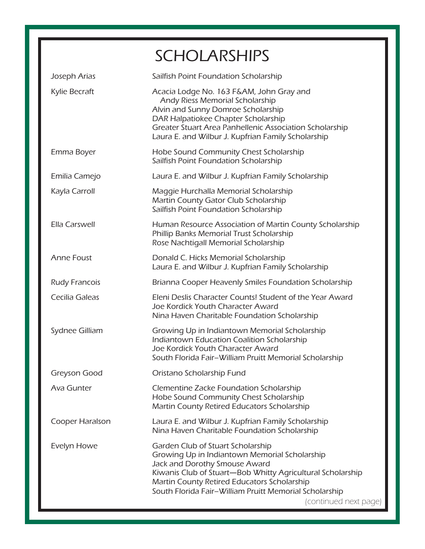|                      | <b>SCHOLARSHIPS</b>                                                                                                                                                                                                                                                                                                 |
|----------------------|---------------------------------------------------------------------------------------------------------------------------------------------------------------------------------------------------------------------------------------------------------------------------------------------------------------------|
| Joseph Arias         | Sailfish Point Foundation Scholarship                                                                                                                                                                                                                                                                               |
| Kylie Becraft        | Acacia Lodge No. 163 F&AM, John Gray and<br>Andy Riess Memorial Scholarship<br>Alvin and Sunny Domroe Scholarship<br>DAR Halpatiokee Chapter Scholarship<br>Greater Stuart Area Panhellenic Association Scholarship<br>Laura E. and Wilbur J. Kupfrian Family Scholarship                                           |
| Emma Boyer           | Hobe Sound Community Chest Scholarship<br>Sailfish Point Foundation Scholarship                                                                                                                                                                                                                                     |
| Emilia Camejo        | Laura E. and Wilbur J. Kupfrian Family Scholarship                                                                                                                                                                                                                                                                  |
| Kayla Carroll        | Maggie Hurchalla Memorial Scholarship<br>Martin County Gator Club Scholarship<br>Sailfish Point Foundation Scholarship                                                                                                                                                                                              |
| Ella Carswell        | Human Resource Association of Martin County Scholarship<br>Phillip Banks Memorial Trust Scholarship<br>Rose Nachtigall Memorial Scholarship                                                                                                                                                                         |
| <b>Anne Foust</b>    | Donald C. Hicks Memorial Scholarship<br>Laura E. and Wilbur J. Kupfrian Family Scholarship                                                                                                                                                                                                                          |
| <b>Rudy Francois</b> | Brianna Cooper Heavenly Smiles Foundation Scholarship                                                                                                                                                                                                                                                               |
| Cecilia Galeas       | Eleni Deslis Character Counts! Student of the Year Award<br>Joe Kordick Youth Character Award<br>Nina Haven Charitable Foundation Scholarship                                                                                                                                                                       |
| Sydnee Gilliam       | Growing Up in Indiantown Memorial Scholarship<br>Indiantown Education Coalition Scholarship<br>Joe Kordick Youth Character Award<br>South Florida Fair-William Pruitt Memorial Scholarship                                                                                                                          |
| Greyson Good         | Oristano Scholarship Fund                                                                                                                                                                                                                                                                                           |
| Ava Gunter           | Clementine Zacke Foundation Scholarship<br>Hobe Sound Community Chest Scholarship<br>Martin County Retired Educators Scholarship                                                                                                                                                                                    |
| Cooper Haralson      | Laura E. and Wilbur J. Kupfrian Family Scholarship<br>Nina Haven Charitable Foundation Scholarship                                                                                                                                                                                                                  |
| Evelyn Howe          | Garden Club of Stuart Scholarship<br>Growing Up in Indiantown Memorial Scholarship<br>Jack and Dorothy Smouse Award<br>Kiwanis Club of Stuart-Bob Whitty Agricultural Scholarship<br>Martin County Retired Educators Scholarship<br>South Florida Fair-William Pruitt Memorial Scholarship<br>(continued next page) |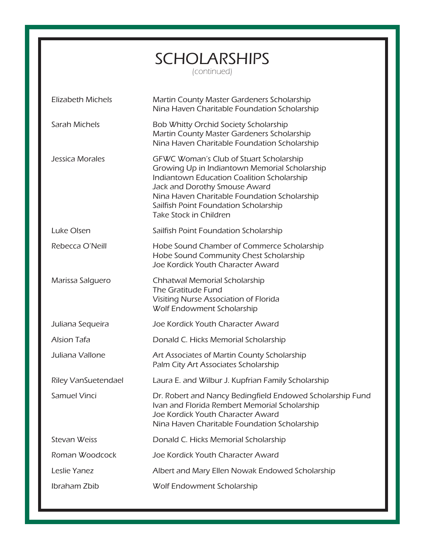| <b>SCHOLARSHIPS</b> |  |
|---------------------|--|
| (continued)         |  |

Elizabeth Michels Martin County Master Gardeners Scholarship Nina Haven Charitable Foundation Scholarship Sarah Michels **Bob Whitty Orchid Society Scholarship**  Martin County Master Gardeners Scholarship Nina Haven Charitable Foundation Scholarship Jessica Morales GFWC Woman's Club of Stuart Scholarship Growing Up in Indiantown Memorial Scholarship Indiantown Education Coalition Scholarship Jack and Dorothy Smouse Award Nina Haven Charitable Foundation Scholarship Sailfish Point Foundation Scholarship Take Stock in Children Luke Olsen Sailfish Point Foundation Scholarship Rebecca O'Neill **Hobe Sound Chamber of Commerce Scholarship**  Hobe Sound Community Chest Scholarship Joe Kordick Youth Character Award Marissa Salguero Chhatwal Memorial Scholarship The Gratitude Fund Visiting Nurse Association of Florida Wolf Endowment Scholarship Juliana Sequeira Joe Kordick Youth Character Award Alsion Tafa **Donald C. Hicks Memorial Scholarship** Juliana Vallone Art Associates of Martin County Scholarship Palm City Art Associates Scholarship Riley VanSuetendael Laura E. and Wilbur J. Kupfrian Family Scholarship Samuel Vinci Dr. Robert and Nancy Bedingfield Endowed Scholarship Fund Ivan and Florida Rembert Memorial Scholarship Joe Kordick Youth Character Award Nina Haven Charitable Foundation Scholarship Stevan Weiss **Donald C. Hicks Memorial Scholarship** Roman Woodcock Joe Kordick Youth Character Award Leslie Yanez Albert and Mary Ellen Nowak Endowed Scholarship Ibraham Zbib Wolf Endowment Scholarship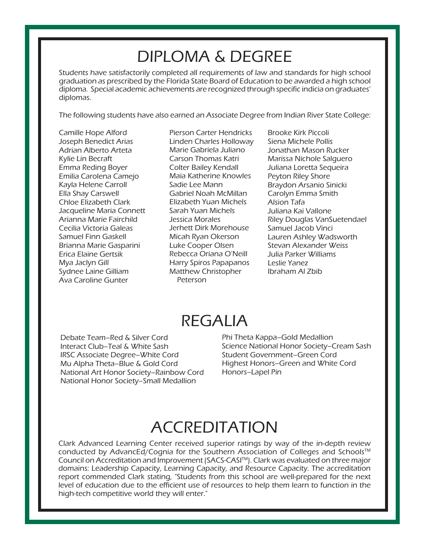## DIPLOMA & DEGREE

Students have satisfactorily completed all requirements of law and standards for high school graduation as prescribed by the Florida State Board of Education to be awarded a high school diploma. Special academic achievements are recognized through specific indicia on graduates' diplomas.

The following students have also earned an Associate Degree from Indian River State College:

 Camille Hope Alford Joseph Benedict Arias Adrian Alberto Arteta Kylie Lin Becraft Emma Reding Boyer Emilia Carolena Camejo Kayla Helene Carroll Ella Shay Carswell Chloe Elizabeth Clark Jacqueline Maria Connett Arianna Marie Fairchild Cecilia Victoria Galeas Samuel Finn Gaskell Brianna Marie Gasparini Erica Elaine Gertsik Mya Jaclyn Gill Sydnee Laine Gilliam Ava Caroline Gunter

Pierson Carter Hendricks Linden Charles Holloway Marie Gabriela Juliano Carson Thomas Katri Colter Bailey Kendall Maia Katherine Knowles Sadie Lee Mann Gabriel Noah McMillan Elizabeth Yuan Michels Sarah Yuan Michels Jessica Morales Jerhett Dirk Morehouse Micah Ryan Okerson Luke Cooper Olsen Rebecca Oriana O'Neill Harry Spiros Papapanos Matthew Christopher Peterson

Brooke Kirk Piccoli Siena Michele Pollis Jonathan Mason Rucker Marissa Nichole Salguero Juliana Loretta Sequeira Peyton Riley Shore Braydon Arsanio Sinicki Carolyn Emma Smith Alsion Tafa Juliana Kai Vallone Riley Douglas VanSuetendael Samuel Jacob Vinci Lauren Ashley Wadsworth Stevan Alexander Weiss Julia Parker Williams Leslie Yanez Ibraham Al Zbib

### REGALIA

Debate Team–Red & Silver Cord Interact Club–Teal & White Sash IRSC Associate Degree–White Cord Mu Alpha Theta–Blue & Gold Cord National Art Honor Society–Rainbow Cord National Honor Society–Small Medallion

Phi Theta Kappa–Gold Medallion Science National Honor Society–Cream Sash Student Government–Green Cord Highest Honors–Green and White Cord Honors–Lapel Pin

# ACCREDITATION

Clark Advanced Learning Center received superior ratings by way of the in-depth review conducted by AdvancEd/Cognia for the Southern Association of Colleges and Schools™ Council on Accreditation and Improvement (SACS-CASI™). Clark was evaluated on three major domains: Leadership Capacity, Learning Capacity, and Resource Capacity. The accreditation report commended Clark stating, "Students from this school are well-prepared for the next level of education due to the efficient use of resources to help them learn to function in the high-tech competitive world they will enter."